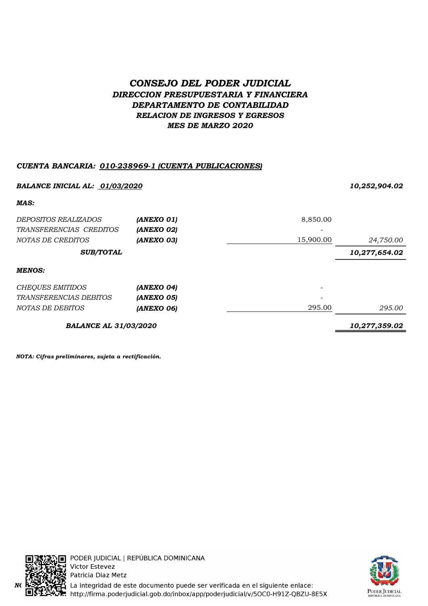# CONSEJO DEL PODER JUDICIAL DIRECCION PRESUPUESTARIA Y FINANCIERA DEPARTAMENTO DE CONTABILIDAD RELACION DE INGRESOS Y EGRESOS MES DE MARZO 2020

# CUENTA BANCARIA: 010-238969-1 (CUENTA PUBLICACIONES)

| <b>BALANCE INICIAL AL: 01/03/2020</b> |                   | 10,252,904.02 |               |
|---------------------------------------|-------------------|---------------|---------------|
| MAS:                                  |                   |               |               |
| <i>DEPOSITOS REALIZADOS</i>           | (ANEXO 01)        | 8,850.00      |               |
| TRANSFERENCIAS CREDITOS               | (ANEXO 02)        |               |               |
| <i>NOTAS DE CREDITOS</i>              | (ANEXO 03)        | 15,900.00     | 24,750.00     |
| <b>SUB/TOTAL</b>                      |                   |               | 10,277,654.02 |
| <b>MENOS:</b>                         |                   |               |               |
| <b>CHEQUES EMITIDOS</b>               | (ANEXO 04)        |               |               |
| <i>TRANSFERENCIAS DEBITOS</i>         | <b>(ANEXO 05)</b> |               |               |
| NOTAS DE DEBITOS                      | (ANEXO 06)        | 295.00        | 295.00        |
| <b>BALANCE AL 31/03/2020</b>          |                   |               | 10,277,359.02 |

NOTA: Cifras preliminares, sujeta a rectificación.





PODER JUDICIAL | REPÚBLICA DOMINICANA Victor Estevez Patricia Diaz Metz  $N$ C $\frac{h^2}{h^2}$ ,  $\frac{h^2}{h^2}$ , La integridad de este documento puede ser verificada en el siguiente enlace: ..<br>http://firma.poderjudicial.gob.do/inbox/app/poderjudicial/v/5OC0-H91Z-QBZU-8E5X.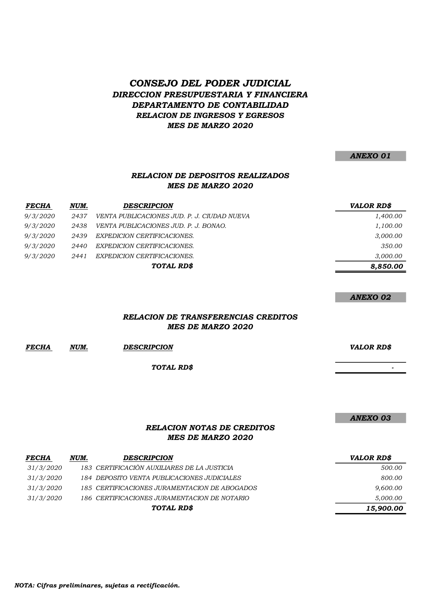### CONSEJO DEL PODER JUDICIAL DIRECCION PRESUPUESTARIA Y FINANCIERA DEPARTAMENTO DE CONTABILIDAD RELACION DE INGRESOS Y EGRESOS MES DE MARZO 2020

ANEXO 01

### RELACION DE DEPOSITOS REALIZADOS MES DE MARZO 2020

| <b>FECHA</b> | NUM. | <b>DESCRIPCION</b>                          | <b>VALOR RD\$</b> |
|--------------|------|---------------------------------------------|-------------------|
| 9/3/2020     | 2437 | VENTA PUBLICACIONES JUD. P. J. CIUDAD NUEVA | 1,400.00          |
| 9/3/2020     | 2438 | VENTA PUBLICACIONES JUD. P. J. BONAO.       | 1,100.00          |
| 9/3/2020     | 2439 | EXPEDICION CERTIFICACIONES.                 | 3,000.00          |
| 9/3/2020     | 2440 | EXPEDICION CERTIFICACIONES.                 | 350.00            |
| 9/3/2020     | 2441 | EXPEDICION CERTIFICACIONES.                 | 3,000.00          |
|              |      | TOTAL RD\$                                  | 8,850.00          |

ANEXO 02

#### RELACION DE TRANSFERENCIAS CREDITOS MES DE MARZO 2020

| <b>FECHA</b> | NUM. | <b>DESCRIPCION</b> | <b>VALOR RDS</b> |
|--------------|------|--------------------|------------------|

TOTAL RD\$

ANEXO 03

- 1990 - 1990 - 1990 - 1990 - 1990 - 1990 - 1990 - 1990 - 1990 - 1990 - 1990 - 1990 - 1990 - 1990 - 1990 - 199<br>1990 - 1990 - 1990 - 1990 - 1990 - 1990 - 1990 - 1990 - 1990 - 1990 - 1990 - 1990 - 1990 - 1990 - 1990 - 1990

#### RELACION NOTAS DE CREDITOS MES DE MARZO 2020

| <b>FECHA</b>     | NUM. | <b>DESCRIPCION</b>                            | <b>VALOR RD\$</b> |
|------------------|------|-----------------------------------------------|-------------------|
| <i>31/3/2020</i> |      | 183 CERTIFICACIÓN AUXILIARES DE LA JUSTICIA   | 500.00            |
| 31/3/2020        |      | 184 DEPOSITO VENTA PUBLICACIONES JUDICIALES   | 800.00            |
| 31/3/2020        |      | 185 CERTIFICACIONES JURAMENTACION DE ABOGADOS | 9,600.00          |
| 31/3/2020        |      | 186 CERTIFICACIONES JURAMENTACION DE NOTARIO  | 5,000.00          |
|                  |      | TOTAL RD\$                                    | 15,900.00         |